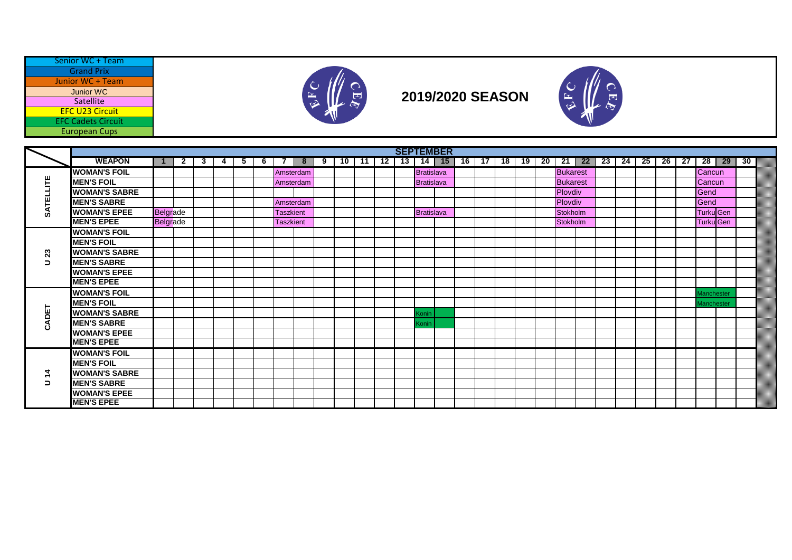| Senior WC + Team          |
|---------------------------|
| <b>Grand Prix</b>         |
| Junior WC + Team          |
| <b>Junior WC</b>          |
| Satellite                 |
| <b>EFC U23 Circuit</b>    |
| <b>EFC Cadets Circuit</b> |
| <b>European Cups</b>      |
|                           |



## **2019/2020 SEASON**



|               |                      |                 |     |       |   |   |                  |                |                |           |    | <b>SEPTEMBER</b> |                   |           |       |  |       |                 |            |    |    |    |    |      |                   |         |    |  |
|---------------|----------------------|-----------------|-----|-------|---|---|------------------|----------------|----------------|-----------|----|------------------|-------------------|-----------|-------|--|-------|-----------------|------------|----|----|----|----|------|-------------------|---------|----|--|
|               | <b>WEAPON</b>        | $\blacksquare$  | 2 I | 3   4 | 5 | 6 | <b>7</b>         | 8 <sup>1</sup> | 9 <sub>1</sub> | $10$   11 | 12 | $13 \mid$        |                   | $14$   15 | 16 17 |  | 18 19 |                 | $20$ 21 22 | 23 | 24 | 25 | 26 | - 27 |                   | $28$ 29 | 30 |  |
|               | <b>WOMAN'S FOIL</b>  |                 |     |       |   |   | Amsterdam        |                |                |           |    |                  | <b>Bratislava</b> |           |       |  |       | <b>Bukarest</b> |            |    |    |    |    |      | Cancun            |         |    |  |
| 뽄             | <b>MEN'S FOIL</b>    |                 |     |       |   |   | Amsterdam        |                |                |           |    |                  | <b>Bratislava</b> |           |       |  |       | <b>Bukarest</b> |            |    |    |    |    |      | <b>Cancun</b>     |         |    |  |
|               | <b>WOMAN'S SABRE</b> |                 |     |       |   |   |                  |                |                |           |    |                  |                   |           |       |  |       | Plovdiv         |            |    |    |    |    |      | Gend              |         |    |  |
| <b>ATEI</b>   | <b>MEN'S SABRE</b>   |                 |     |       |   |   | Amsterdam        |                |                |           |    |                  |                   |           |       |  |       | Plovdiv         |            |    |    |    |    |      | Gend              |         |    |  |
| ω             | <b>WOMAN'S EPEE</b>  | <b>Belgrade</b> |     |       |   |   | <b>Taszkient</b> |                |                |           |    |                  | <b>Bratislava</b> |           |       |  |       | Stokholm        |            |    |    |    |    |      | Turku Gen         |         |    |  |
|               | <b>MEN'S EPEE</b>    | <b>Belgrade</b> |     |       |   |   | <b>Taszkient</b> |                |                |           |    |                  |                   |           |       |  |       | <b>Stokholm</b> |            |    |    |    |    |      | <b>Turku Gen</b>  |         |    |  |
|               | <b>WOMAN'S FOIL</b>  |                 |     |       |   |   |                  |                |                |           |    |                  |                   |           |       |  |       |                 |            |    |    |    |    |      |                   |         |    |  |
|               | <b>MEN'S FOIL</b>    |                 |     |       |   |   |                  |                |                |           |    |                  |                   |           |       |  |       |                 |            |    |    |    |    |      |                   |         |    |  |
| 23            | <b>WOMAN'S SABRE</b> |                 |     |       |   |   |                  |                |                |           |    |                  |                   |           |       |  |       |                 |            |    |    |    |    |      |                   |         |    |  |
| $\Rightarrow$ | <b>MEN'S SABRE</b>   |                 |     |       |   |   |                  |                |                |           |    |                  |                   |           |       |  |       |                 |            |    |    |    |    |      |                   |         |    |  |
|               | <b>WOMAN'S EPEE</b>  |                 |     |       |   |   |                  |                |                |           |    |                  |                   |           |       |  |       |                 |            |    |    |    |    |      |                   |         |    |  |
|               | <b>MEN'S EPEE</b>    |                 |     |       |   |   |                  |                |                |           |    |                  |                   |           |       |  |       |                 |            |    |    |    |    |      |                   |         |    |  |
|               | <b>WOMAN'S FOIL</b>  |                 |     |       |   |   |                  |                |                |           |    |                  |                   |           |       |  |       |                 |            |    |    |    |    |      | Manchester        |         |    |  |
|               | <b>MEN'S FOIL</b>    |                 |     |       |   |   |                  |                |                |           |    |                  |                   |           |       |  |       |                 |            |    |    |    |    |      | <b>Aanchester</b> |         |    |  |
| CADET         | <b>WOMAN'S SABRE</b> |                 |     |       |   |   |                  |                |                |           |    |                  | Konin             |           |       |  |       |                 |            |    |    |    |    |      |                   |         |    |  |
|               | <b>MEN'S SABRE</b>   |                 |     |       |   |   |                  |                |                |           |    |                  | Konin             |           |       |  |       |                 |            |    |    |    |    |      |                   |         |    |  |
|               | <b>WOMAN'S EPEE</b>  |                 |     |       |   |   |                  |                |                |           |    |                  |                   |           |       |  |       |                 |            |    |    |    |    |      |                   |         |    |  |
|               | <b>MEN'S EPEE</b>    |                 |     |       |   |   |                  |                |                |           |    |                  |                   |           |       |  |       |                 |            |    |    |    |    |      |                   |         |    |  |
|               | <b>WOMAN'S FOIL</b>  |                 |     |       |   |   |                  |                |                |           |    |                  |                   |           |       |  |       |                 |            |    |    |    |    |      |                   |         |    |  |
|               | <b>MEN'S FOIL</b>    |                 |     |       |   |   |                  |                |                |           |    |                  |                   |           |       |  |       |                 |            |    |    |    |    |      |                   |         |    |  |
| $\dot{a}$     | <b>WOMAN'S SABRE</b> |                 |     |       |   |   |                  |                |                |           |    |                  |                   |           |       |  |       |                 |            |    |    |    |    |      |                   |         |    |  |
| $\Rightarrow$ | <b>MEN'S SABRE</b>   |                 |     |       |   |   |                  |                |                |           |    |                  |                   |           |       |  |       |                 |            |    |    |    |    |      |                   |         |    |  |
|               | <b>WOMAN'S EPEE</b>  |                 |     |       |   |   |                  |                |                |           |    |                  |                   |           |       |  |       |                 |            |    |    |    |    |      |                   |         |    |  |
|               | <b>MEN'S EPEE</b>    |                 |     |       |   |   |                  |                |                |           |    |                  |                   |           |       |  |       |                 |            |    |    |    |    |      |                   |         |    |  |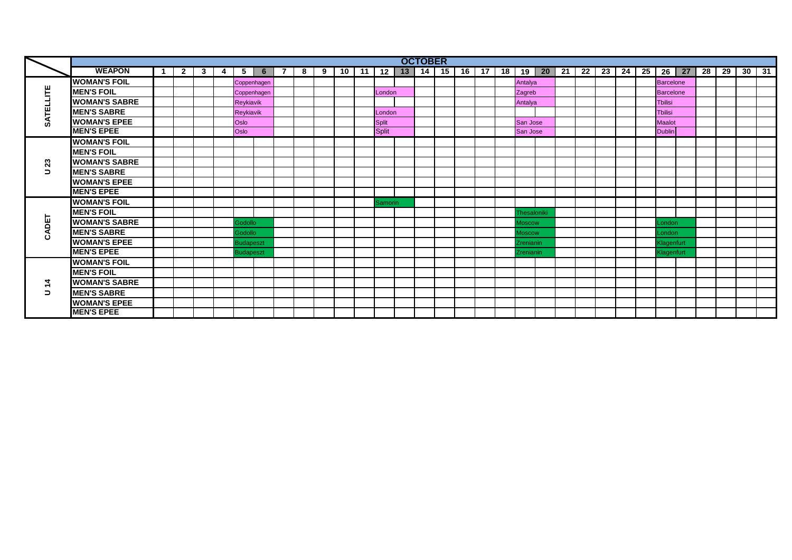|             |                      |   |              |              |   |                  |                |                |   |   |  |                | <b>OCTOBER</b> |  |  |               |                                                 |  |    |                  |         |    |    |    |             |
|-------------|----------------------|---|--------------|--------------|---|------------------|----------------|----------------|---|---|--|----------------|----------------|--|--|---------------|-------------------------------------------------|--|----|------------------|---------|----|----|----|-------------|
|             | <b>WEAPON</b>        | 1 | $\mathbf{2}$ | $\mathbf{3}$ | 4 | 5 <sup>5</sup>   | 6 <sup>1</sup> | $\overline{7}$ | 8 | 9 |  | $10$ 11 12     |                |  |  |               | 13   14   15   16   17   18   19   20   21   22 |  | 25 |                  | $26$ 27 | 28 | 29 | 30 | $\sqrt{31}$ |
|             | <b>WOMAN'S FOIL</b>  |   |              |              |   |                  | Coppenhagen    |                |   |   |  |                |                |  |  | Antalya       |                                                 |  |    | <b>Barcelone</b> |         |    |    |    |             |
| 꾠           | <b>MEN'S FOIL</b>    |   |              |              |   |                  | Coppenhagen    |                |   |   |  | London         |                |  |  | Zagreb        |                                                 |  |    | <b>Barcelone</b> |         |    |    |    |             |
|             | <b>WOMAN'S SABRE</b> |   |              |              |   | Reykiavik        |                |                |   |   |  |                |                |  |  | Antalya       |                                                 |  |    | <b>Tbilisi</b>   |         |    |    |    |             |
|             | <b>MEN'S SABRE</b>   |   |              |              |   | Reykiavik        |                |                |   |   |  | London         |                |  |  |               |                                                 |  |    | <b>Tbilisi</b>   |         |    |    |    |             |
| Ø           | <b>WOMAN'S EPEE</b>  |   |              |              |   | Oslo             |                |                |   |   |  | <b>Split</b>   |                |  |  | San Jose      |                                                 |  |    | <b>Maalot</b>    |         |    |    |    |             |
|             | <b>MEN'S EPEE</b>    |   |              |              |   | Oslo             |                |                |   |   |  | <b>Split</b>   |                |  |  | San Jose      |                                                 |  |    | <b>Dublin</b>    |         |    |    |    |             |
|             | <b>WOMAN'S FOIL</b>  |   |              |              |   |                  |                |                |   |   |  |                |                |  |  |               |                                                 |  |    |                  |         |    |    |    |             |
|             | <b>MEN'S FOIL</b>    |   |              |              |   |                  |                |                |   |   |  |                |                |  |  |               |                                                 |  |    |                  |         |    |    |    |             |
| 23          | <b>WOMAN'S SABRE</b> |   |              |              |   |                  |                |                |   |   |  |                |                |  |  |               |                                                 |  |    |                  |         |    |    |    |             |
| $\Box$      | <b>MEN'S SABRE</b>   |   |              |              |   |                  |                |                |   |   |  |                |                |  |  |               |                                                 |  |    |                  |         |    |    |    |             |
|             | <b>WOMAN'S EPEE</b>  |   |              |              |   |                  |                |                |   |   |  |                |                |  |  |               |                                                 |  |    |                  |         |    |    |    |             |
|             | <b>MEN'S EPEE</b>    |   |              |              |   |                  |                |                |   |   |  |                |                |  |  |               |                                                 |  |    |                  |         |    |    |    |             |
|             | <b>WOMAN'S FOIL</b>  |   |              |              |   |                  |                |                |   |   |  | <b>Samorin</b> |                |  |  |               |                                                 |  |    |                  |         |    |    |    |             |
|             | <b>MEN'S FOIL</b>    |   |              |              |   |                  |                |                |   |   |  |                |                |  |  | Thesaloniki   |                                                 |  |    |                  |         |    |    |    |             |
| <b>ADET</b> | <b>WOMAN'S SABRE</b> |   |              |              |   | Godollo          |                |                |   |   |  |                |                |  |  | <b>Moscow</b> |                                                 |  |    | London           |         |    |    |    |             |
| Ō           | <b>MEN'S SABRE</b>   |   |              |              |   | Godollo          |                |                |   |   |  |                |                |  |  | <b>Moscow</b> |                                                 |  |    | London           |         |    |    |    |             |
|             | <b>WOMAN'S EPEE</b>  |   |              |              |   | <b>Budapeszt</b> |                |                |   |   |  |                |                |  |  | Zrenianin     |                                                 |  |    | Klagenfurt       |         |    |    |    |             |
|             | <b>MEN'S EPEE</b>    |   |              |              |   | <b>Budapeszt</b> |                |                |   |   |  |                |                |  |  | Zrenianin     |                                                 |  |    | Klagenfurt       |         |    |    |    |             |
|             | <b>WOMAN'S FOIL</b>  |   |              |              |   |                  |                |                |   |   |  |                |                |  |  |               |                                                 |  |    |                  |         |    |    |    |             |
|             | <b>MEN'S FOIL</b>    |   |              |              |   |                  |                |                |   |   |  |                |                |  |  |               |                                                 |  |    |                  |         |    |    |    |             |
|             | <b>WOMAN'S SABRE</b> |   |              |              |   |                  |                |                |   |   |  |                |                |  |  |               |                                                 |  |    |                  |         |    |    |    |             |
| ∍           | <b>MEN'S SABRE</b>   |   |              |              |   |                  |                |                |   |   |  |                |                |  |  |               |                                                 |  |    |                  |         |    |    |    |             |
|             | <b>WOMAN'S EPEE</b>  |   |              |              |   |                  |                |                |   |   |  |                |                |  |  |               |                                                 |  |    |                  |         |    |    |    |             |
|             | <b>MEN'S EPEE</b>    |   |              |              |   |                  |                |                |   |   |  |                |                |  |  |               |                                                 |  |    |                  |         |    |    |    |             |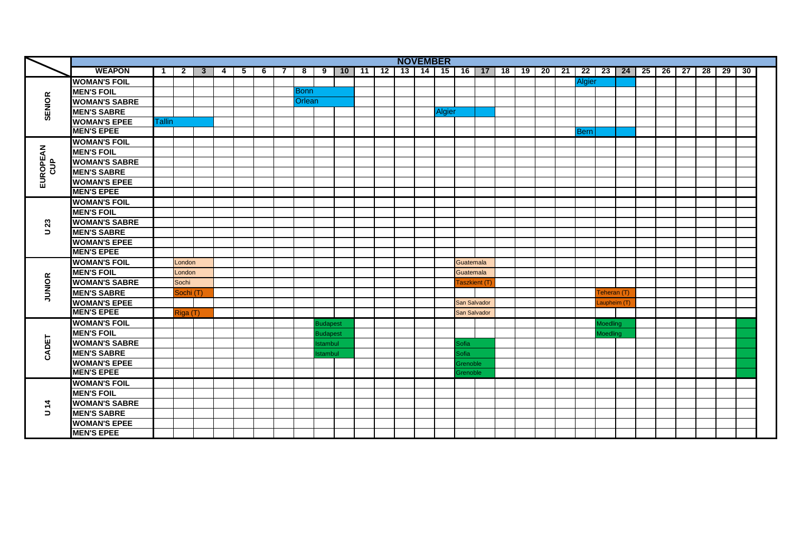|               |                      |               |                |                         |   |                |       |   |                |                 |  | <b>NOVEMBER</b>                                                                                       |               |                     |  |  |             |                        |  |  |  |    |
|---------------|----------------------|---------------|----------------|-------------------------|---|----------------|-------|---|----------------|-----------------|--|-------------------------------------------------------------------------------------------------------|---------------|---------------------|--|--|-------------|------------------------|--|--|--|----|
|               | <b>WEAPON</b>        | $\mathbf{1}$  | $\overline{2}$ | $\overline{\mathbf{3}}$ | 4 | 5 <sup>1</sup> | $6$ T | 7 | 8 <sup>1</sup> |                 |  | 9   10   11   12   13   14   15   16   17   18   19   20   21   22   23   24   25   26   27   28   29 |               |                     |  |  |             |                        |  |  |  | 30 |
|               | <b>WOMAN'S FOIL</b>  |               |                |                         |   |                |       |   |                |                 |  |                                                                                                       |               |                     |  |  | Algier      |                        |  |  |  |    |
|               | <b>MEN'S FOIL</b>    |               |                |                         |   |                |       |   | <b>Bonn</b>    |                 |  |                                                                                                       |               |                     |  |  |             |                        |  |  |  |    |
|               | <b>WOMAN'S SABRE</b> |               |                |                         |   |                |       |   | <b>Orlean</b>  |                 |  |                                                                                                       |               |                     |  |  |             |                        |  |  |  |    |
| <b>SENIOR</b> | <b>MEN'S SABRE</b>   |               |                |                         |   |                |       |   |                |                 |  |                                                                                                       | <b>Algier</b> |                     |  |  |             |                        |  |  |  |    |
|               | <b>WOMAN'S EPEE</b>  | <b>Tallin</b> |                |                         |   |                |       |   |                |                 |  |                                                                                                       |               |                     |  |  |             |                        |  |  |  |    |
|               | <b>MEN'S EPEE</b>    |               |                |                         |   |                |       |   |                |                 |  |                                                                                                       |               |                     |  |  | <b>Bern</b> |                        |  |  |  |    |
|               | <b>WOMAN'S FOIL</b>  |               |                |                         |   |                |       |   |                |                 |  |                                                                                                       |               |                     |  |  |             |                        |  |  |  |    |
|               | <b>MEN'S FOIL</b>    |               |                |                         |   |                |       |   |                |                 |  |                                                                                                       |               |                     |  |  |             |                        |  |  |  |    |
|               | <b>WOMAN'S SABRE</b> |               |                |                         |   |                |       |   |                |                 |  |                                                                                                       |               |                     |  |  |             |                        |  |  |  |    |
| $rac{a}{c}$   | <b>MEN'S SABRE</b>   |               |                |                         |   |                |       |   |                |                 |  |                                                                                                       |               |                     |  |  |             |                        |  |  |  |    |
| EUROPEAN      | <b>WOMAN'S EPEE</b>  |               |                |                         |   |                |       |   |                |                 |  |                                                                                                       |               |                     |  |  |             |                        |  |  |  |    |
|               | <b>MEN'S EPEE</b>    |               |                |                         |   |                |       |   |                |                 |  |                                                                                                       |               |                     |  |  |             |                        |  |  |  |    |
|               | <b>WOMAN'S FOIL</b>  |               |                |                         |   |                |       |   |                |                 |  |                                                                                                       |               |                     |  |  |             |                        |  |  |  |    |
|               | <b>MEN'S FOIL</b>    |               |                |                         |   |                |       |   |                |                 |  |                                                                                                       |               |                     |  |  |             |                        |  |  |  |    |
| 23            | <b>WOMAN'S SABRE</b> |               |                |                         |   |                |       |   |                |                 |  |                                                                                                       |               |                     |  |  |             |                        |  |  |  |    |
| $\Rightarrow$ | <b>MEN'S SABRE</b>   |               |                |                         |   |                |       |   |                |                 |  |                                                                                                       |               |                     |  |  |             |                        |  |  |  |    |
|               | <b>WOMAN'S EPEE</b>  |               |                |                         |   |                |       |   |                |                 |  |                                                                                                       |               |                     |  |  |             |                        |  |  |  |    |
|               | <b>MEN'S EPEE</b>    |               |                |                         |   |                |       |   |                |                 |  |                                                                                                       |               |                     |  |  |             |                        |  |  |  |    |
|               | <b>WOMAN'S FOIL</b>  |               | London         |                         |   |                |       |   |                |                 |  |                                                                                                       |               | Guatemala           |  |  |             |                        |  |  |  |    |
|               | <b>MEN'S FOIL</b>    |               | London         |                         |   |                |       |   |                |                 |  |                                                                                                       |               | Guatemala           |  |  |             |                        |  |  |  |    |
|               | <b>WOMAN'S SABRE</b> |               | Sochi          |                         |   |                |       |   |                |                 |  |                                                                                                       |               | <b>Taszkient</b> (  |  |  |             |                        |  |  |  |    |
| <b>JUNIOR</b> | <b>MEN'S SABRE</b>   |               | Sochi (T)      |                         |   |                |       |   |                |                 |  |                                                                                                       |               |                     |  |  |             | [eheran (T             |  |  |  |    |
|               | <b>WOMAN'S EPEE</b>  |               |                |                         |   |                |       |   |                |                 |  |                                                                                                       |               | <b>San Salvador</b> |  |  |             | aupheim (T             |  |  |  |    |
|               | <b>MEN'S EPEE</b>    |               | Riga (T)       |                         |   |                |       |   |                |                 |  |                                                                                                       |               | San Salvador        |  |  |             |                        |  |  |  |    |
|               | <b>WOMAN'S FOIL</b>  |               |                |                         |   |                |       |   |                | <b>Budapest</b> |  |                                                                                                       |               |                     |  |  |             | <b>Aoedling</b>        |  |  |  |    |
|               | <b>MEN'S FOIL</b>    |               |                |                         |   |                |       |   |                | <b>Budapest</b> |  |                                                                                                       |               |                     |  |  |             | <i><b>Aoedling</b></i> |  |  |  |    |
|               | <b>WOMAN'S SABRE</b> |               |                |                         |   |                |       |   |                | stambul         |  |                                                                                                       |               | <b>Sofia</b>        |  |  |             |                        |  |  |  |    |
| CADET         | <b>MEN'S SABRE</b>   |               |                |                         |   |                |       |   |                | stambul         |  |                                                                                                       |               | <b>Sofia</b>        |  |  |             |                        |  |  |  |    |
|               | <b>WOMAN'S EPEE</b>  |               |                |                         |   |                |       |   |                |                 |  |                                                                                                       |               | <b>Grenoble</b>     |  |  |             |                        |  |  |  |    |
|               | <b>MEN'S EPEE</b>    |               |                |                         |   |                |       |   |                |                 |  |                                                                                                       |               | Grenoble            |  |  |             |                        |  |  |  |    |
|               | <b>WOMAN'S FOIL</b>  |               |                |                         |   |                |       |   |                |                 |  |                                                                                                       |               |                     |  |  |             |                        |  |  |  |    |
|               | <b>MEN'S FOIL</b>    |               |                |                         |   |                |       |   |                |                 |  |                                                                                                       |               |                     |  |  |             |                        |  |  |  |    |
| $\frac{4}{7}$ | <b>WOMAN'S SABRE</b> |               |                |                         |   |                |       |   |                |                 |  |                                                                                                       |               |                     |  |  |             |                        |  |  |  |    |
| $\Rightarrow$ | <b>MEN'S SABRE</b>   |               |                |                         |   |                |       |   |                |                 |  |                                                                                                       |               |                     |  |  |             |                        |  |  |  |    |
|               | <b>WOMAN'S EPEE</b>  |               |                |                         |   |                |       |   |                |                 |  |                                                                                                       |               |                     |  |  |             |                        |  |  |  |    |
|               | <b>MEN'S EPEE</b>    |               |                |                         |   |                |       |   |                |                 |  |                                                                                                       |               |                     |  |  |             |                        |  |  |  |    |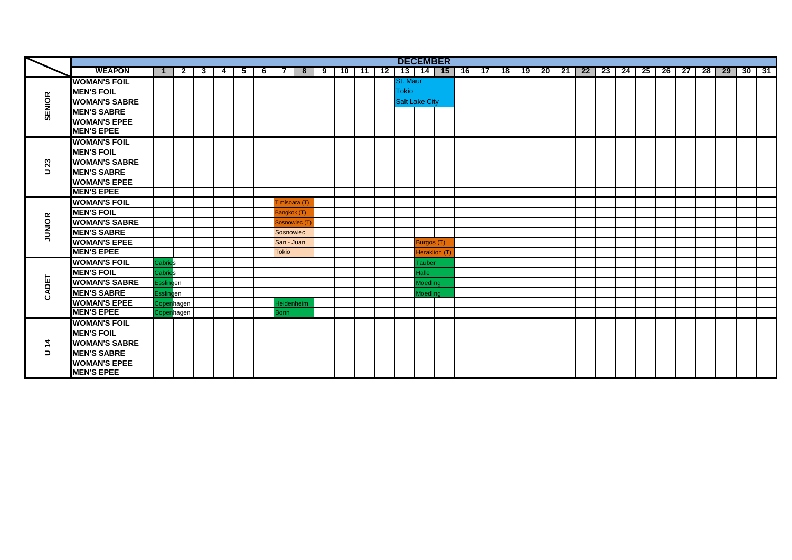|               |                      |                |        |   |   |   |   |              |   |   |    |     |    |                       | <b>DECEMBER</b> |    |      |    |    |    |      |    |      |    |      |      |      |    |    |    |    |
|---------------|----------------------|----------------|--------|---|---|---|---|--------------|---|---|----|-----|----|-----------------------|-----------------|----|------|----|----|----|------|----|------|----|------|------|------|----|----|----|----|
|               | <b>WEAPON</b>        |                | 2      | 3 | 4 | 5 | 6 |              | 8 | 9 | 10 | -11 | 12 |                       | $13$   14   15  | 16 | - 17 | 18 | 19 | 20 | - 21 | 22 | - 23 | 24 | - 25 | - 26 | - 27 | 28 | 29 | 30 | 31 |
|               | <b>WOMAN'S FOIL</b>  |                |        |   |   |   |   |              |   |   |    |     |    | St. Maur              |                 |    |      |    |    |    |      |    |      |    |      |      |      |    |    |    |    |
|               | <b>MEN'S FOIL</b>    |                |        |   |   |   |   |              |   |   |    |     |    | <b>Tokio</b>          |                 |    |      |    |    |    |      |    |      |    |      |      |      |    |    |    |    |
| <b>SENIOR</b> | <b>WOMAN'S SABRE</b> |                |        |   |   |   |   |              |   |   |    |     |    | <b>Salt Lake City</b> |                 |    |      |    |    |    |      |    |      |    |      |      |      |    |    |    |    |
|               | <b>MEN'S SABRE</b>   |                |        |   |   |   |   |              |   |   |    |     |    |                       |                 |    |      |    |    |    |      |    |      |    |      |      |      |    |    |    |    |
|               | <b>WOMAN'S EPEE</b>  |                |        |   |   |   |   |              |   |   |    |     |    |                       |                 |    |      |    |    |    |      |    |      |    |      |      |      |    |    |    |    |
|               | <b>MEN'S EPEE</b>    |                |        |   |   |   |   |              |   |   |    |     |    |                       |                 |    |      |    |    |    |      |    |      |    |      |      |      |    |    |    |    |
|               | <b>WOMAN'S FOIL</b>  |                |        |   |   |   |   |              |   |   |    |     |    |                       |                 |    |      |    |    |    |      |    |      |    |      |      |      |    |    |    |    |
|               | <b>MEN'S FOIL</b>    |                |        |   |   |   |   |              |   |   |    |     |    |                       |                 |    |      |    |    |    |      |    |      |    |      |      |      |    |    |    |    |
| 23            | <b>WOMAN'S SABRE</b> |                |        |   |   |   |   |              |   |   |    |     |    |                       |                 |    |      |    |    |    |      |    |      |    |      |      |      |    |    |    |    |
| $\Rightarrow$ | <b>MEN'S SABRE</b>   |                |        |   |   |   |   |              |   |   |    |     |    |                       |                 |    |      |    |    |    |      |    |      |    |      |      |      |    |    |    |    |
|               | <b>WOMAN'S EPEE</b>  |                |        |   |   |   |   |              |   |   |    |     |    |                       |                 |    |      |    |    |    |      |    |      |    |      |      |      |    |    |    |    |
|               | <b>MEN'S EPEE</b>    |                |        |   |   |   |   |              |   |   |    |     |    |                       |                 |    |      |    |    |    |      |    |      |    |      |      |      |    |    |    |    |
|               | <b>WOMAN'S FOIL</b>  |                |        |   |   |   |   | Timisoara (T |   |   |    |     |    |                       |                 |    |      |    |    |    |      |    |      |    |      |      |      |    |    |    |    |
|               | <b>IMEN'S FOIL</b>   |                |        |   |   |   |   | Bangkok (T)  |   |   |    |     |    |                       |                 |    |      |    |    |    |      |    |      |    |      |      |      |    |    |    |    |
| <b>JUNIOR</b> | <b>WOMAN'S SABRE</b> |                |        |   |   |   |   | Sosnowiec (  |   |   |    |     |    |                       |                 |    |      |    |    |    |      |    |      |    |      |      |      |    |    |    |    |
|               | <b>MEN'S SABRE</b>   |                |        |   |   |   |   | Sosnowiec    |   |   |    |     |    |                       |                 |    |      |    |    |    |      |    |      |    |      |      |      |    |    |    |    |
|               | <b>WOMAN'S EPEE</b>  |                |        |   |   |   |   | San - Juan   |   |   |    |     |    |                       | Burgos (T)      |    |      |    |    |    |      |    |      |    |      |      |      |    |    |    |    |
|               | <b>MEN'S EPEE</b>    |                |        |   |   |   |   | <b>Tokio</b> |   |   |    |     |    |                       | Heraklion (     |    |      |    |    |    |      |    |      |    |      |      |      |    |    |    |    |
|               | <b>WOMAN'S FOIL</b>  | <b>Cabries</b> |        |   |   |   |   |              |   |   |    |     |    |                       | Tauber          |    |      |    |    |    |      |    |      |    |      |      |      |    |    |    |    |
|               | <b>MEN'S FOIL</b>    | Cabries        |        |   |   |   |   |              |   |   |    |     |    |                       | Halle           |    |      |    |    |    |      |    |      |    |      |      |      |    |    |    |    |
| CADET         | <b>WOMAN'S SABRE</b> |                | gen    |   |   |   |   |              |   |   |    |     |    |                       | Moedling        |    |      |    |    |    |      |    |      |    |      |      |      |    |    |    |    |
|               | <b>MEN'S SABRE</b>   | Essli          | gen    |   |   |   |   |              |   |   |    |     |    |                       | <b>Moedling</b> |    |      |    |    |    |      |    |      |    |      |      |      |    |    |    |    |
|               | <b>WOMAN'S EPEE</b>  | Соре           | nhagen |   |   |   |   | Heidenheim   |   |   |    |     |    |                       |                 |    |      |    |    |    |      |    |      |    |      |      |      |    |    |    |    |
|               | <b>MEN'S EPEE</b>    | coper          | nagen  |   |   |   |   | <b>Bonn</b>  |   |   |    |     |    |                       |                 |    |      |    |    |    |      |    |      |    |      |      |      |    |    |    |    |
|               | <b>WOMAN'S FOIL</b>  |                |        |   |   |   |   |              |   |   |    |     |    |                       |                 |    |      |    |    |    |      |    |      |    |      |      |      |    |    |    |    |
|               | <b>MEN'S FOIL</b>    |                |        |   |   |   |   |              |   |   |    |     |    |                       |                 |    |      |    |    |    |      |    |      |    |      |      |      |    |    |    |    |
| $\dot{a}$     | <b>WOMAN'S SABRE</b> |                |        |   |   |   |   |              |   |   |    |     |    |                       |                 |    |      |    |    |    |      |    |      |    |      |      |      |    |    |    |    |
| $\Rightarrow$ | <b>MEN'S SABRE</b>   |                |        |   |   |   |   |              |   |   |    |     |    |                       |                 |    |      |    |    |    |      |    |      |    |      |      |      |    |    |    |    |
|               | <b>WOMAN'S EPEE</b>  |                |        |   |   |   |   |              |   |   |    |     |    |                       |                 |    |      |    |    |    |      |    |      |    |      |      |      |    |    |    |    |
|               | <b>MEN'S EPEE</b>    |                |        |   |   |   |   |              |   |   |    |     |    |                       |                 |    |      |    |    |    |      |    |      |    |      |      |      |    |    |    |    |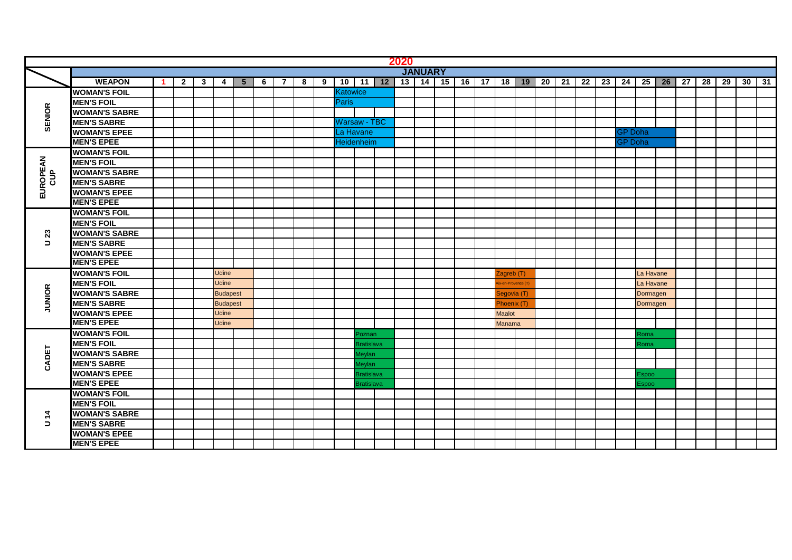|                            |                      |              |              |                 |                |   |                |   |   |          |                     | 2020 |                |                |  |                   |         |    |    |                 |    |                |                  |         |         |         |  |
|----------------------------|----------------------|--------------|--------------|-----------------|----------------|---|----------------|---|---|----------|---------------------|------|----------------|----------------|--|-------------------|---------|----|----|-----------------|----|----------------|------------------|---------|---------|---------|--|
|                            |                      |              |              |                 |                |   |                |   |   |          |                     |      | <b>JANUARY</b> |                |  |                   |         |    |    |                 |    |                |                  |         |         |         |  |
|                            | <b>WEAPON</b>        | $\mathbf{2}$ | $\mathbf{3}$ | 4               | 5 <sup>5</sup> | 6 | $\overline{7}$ | 8 | 9 |          | $10$ 11 12          |      |                | 13 14 15 16 17 |  |                   | $18$ 19 | 20 | 21 | $\overline{22}$ | 23 | 24             | $25$ $\parallel$ | $26$ 27 | 28 29 1 | $30$ 31 |  |
|                            | <b>WOMAN'S FOIL</b>  |              |              |                 |                |   |                |   |   | Katowice |                     |      |                |                |  |                   |         |    |    |                 |    |                |                  |         |         |         |  |
|                            | <b>MEN'S FOIL</b>    |              |              |                 |                |   |                |   |   | Paris    |                     |      |                |                |  |                   |         |    |    |                 |    |                |                  |         |         |         |  |
|                            | <b>WOMAN'S SABRE</b> |              |              |                 |                |   |                |   |   |          |                     |      |                |                |  |                   |         |    |    |                 |    |                |                  |         |         |         |  |
| <b>SENIOR</b>              | <b>MEN'S SABRE</b>   |              |              |                 |                |   |                |   |   |          | <b>Warsaw - TBC</b> |      |                |                |  |                   |         |    |    |                 |    |                |                  |         |         |         |  |
|                            | <b>WOMAN'S EPEE</b>  |              |              |                 |                |   |                |   |   |          | La Havane           |      |                |                |  |                   |         |    |    |                 |    | <b>GP Doha</b> |                  |         |         |         |  |
|                            | <b>MEN'S EPEE</b>    |              |              |                 |                |   |                |   |   |          | Heidenheim          |      |                |                |  |                   |         |    |    |                 |    | <b>GP Doha</b> |                  |         |         |         |  |
|                            | <b>WOMAN'S FOIL</b>  |              |              |                 |                |   |                |   |   |          |                     |      |                |                |  |                   |         |    |    |                 |    |                |                  |         |         |         |  |
|                            | <b>MEN'S FOIL</b>    |              |              |                 |                |   |                |   |   |          |                     |      |                |                |  |                   |         |    |    |                 |    |                |                  |         |         |         |  |
|                            | <b>WOMAN'S SABRE</b> |              |              |                 |                |   |                |   |   |          |                     |      |                |                |  |                   |         |    |    |                 |    |                |                  |         |         |         |  |
| <b>EUROPEAN</b><br>CUP     | <b>MEN'S SABRE</b>   |              |              |                 |                |   |                |   |   |          |                     |      |                |                |  |                   |         |    |    |                 |    |                |                  |         |         |         |  |
|                            | <b>WOMAN'S EPEE</b>  |              |              |                 |                |   |                |   |   |          |                     |      |                |                |  |                   |         |    |    |                 |    |                |                  |         |         |         |  |
|                            | <b>MEN'S EPEE</b>    |              |              |                 |                |   |                |   |   |          |                     |      |                |                |  |                   |         |    |    |                 |    |                |                  |         |         |         |  |
|                            | <b>WOMAN'S FOIL</b>  |              |              |                 |                |   |                |   |   |          |                     |      |                |                |  |                   |         |    |    |                 |    |                |                  |         |         |         |  |
|                            | <b>MEN'S FOIL</b>    |              |              |                 |                |   |                |   |   |          |                     |      |                |                |  |                   |         |    |    |                 |    |                |                  |         |         |         |  |
| $\boldsymbol{\mathsf{23}}$ | <b>WOMAN'S SABRE</b> |              |              |                 |                |   |                |   |   |          |                     |      |                |                |  |                   |         |    |    |                 |    |                |                  |         |         |         |  |
| $\Rightarrow$              | <b>MEN'S SABRE</b>   |              |              |                 |                |   |                |   |   |          |                     |      |                |                |  |                   |         |    |    |                 |    |                |                  |         |         |         |  |
|                            | <b>WOMAN'S EPEE</b>  |              |              |                 |                |   |                |   |   |          |                     |      |                |                |  |                   |         |    |    |                 |    |                |                  |         |         |         |  |
|                            | <b>MEN'S EPEE</b>    |              |              |                 |                |   |                |   |   |          |                     |      |                |                |  |                   |         |    |    |                 |    |                |                  |         |         |         |  |
|                            | <b>WOMAN'S FOIL</b>  |              |              | <b>Udine</b>    |                |   |                |   |   |          |                     |      |                |                |  | Zagreb (T)        |         |    |    |                 |    |                | La Havane        |         |         |         |  |
|                            | <b>MEN'S FOIL</b>    |              |              | <b>Udine</b>    |                |   |                |   |   |          |                     |      |                |                |  | ix-en-Provence (T |         |    |    |                 |    |                | La Havane        |         |         |         |  |
| <b>JUNIOR</b>              | <b>WOMAN'S SABRE</b> |              |              | <b>Budapest</b> |                |   |                |   |   |          |                     |      |                |                |  | Segovia (T)       |         |    |    |                 |    |                | Dormagen         |         |         |         |  |
|                            | <b>MEN'S SABRE</b>   |              |              | <b>Budapest</b> |                |   |                |   |   |          |                     |      |                |                |  | Phoenix (T        |         |    |    |                 |    |                | Dormagen         |         |         |         |  |
|                            | <b>WOMAN'S EPEE</b>  |              |              | <b>Udine</b>    |                |   |                |   |   |          |                     |      |                |                |  | <b>Maalot</b>     |         |    |    |                 |    |                |                  |         |         |         |  |
|                            | <b>MEN'S EPEE</b>    |              |              | Udine           |                |   |                |   |   |          |                     |      |                |                |  | Manama            |         |    |    |                 |    |                |                  |         |         |         |  |
|                            | <b>WOMAN'S FOIL</b>  |              |              |                 |                |   |                |   |   |          | Poznan              |      |                |                |  |                   |         |    |    |                 |    |                | Roma             |         |         |         |  |
|                            | <b>MEN'S FOIL</b>    |              |              |                 |                |   |                |   |   |          | <b>Bratislava</b>   |      |                |                |  |                   |         |    |    |                 |    |                | Roma             |         |         |         |  |
| CADET                      | <b>WOMAN'S SABRE</b> |              |              |                 |                |   |                |   |   |          | <b>Aeylan</b>       |      |                |                |  |                   |         |    |    |                 |    |                |                  |         |         |         |  |
|                            | <b>MEN'S SABRE</b>   |              |              |                 |                |   |                |   |   |          | Meylan              |      |                |                |  |                   |         |    |    |                 |    |                |                  |         |         |         |  |
|                            | <b>WOMAN'S EPEE</b>  |              |              |                 |                |   |                |   |   |          | <b>Bratislava</b>   |      |                |                |  |                   |         |    |    |                 |    |                | Espoo            |         |         |         |  |
|                            | <b>MEN'S EPEE</b>    |              |              |                 |                |   |                |   |   |          | <b>Bratislava</b>   |      |                |                |  |                   |         |    |    |                 |    |                | Espoo            |         |         |         |  |
|                            | <b>WOMAN'S FOIL</b>  |              |              |                 |                |   |                |   |   |          |                     |      |                |                |  |                   |         |    |    |                 |    |                |                  |         |         |         |  |
|                            | <b>MEN'S FOIL</b>    |              |              |                 |                |   |                |   |   |          |                     |      |                |                |  |                   |         |    |    |                 |    |                |                  |         |         |         |  |
| $\dot{a}$                  | <b>WOMAN'S SABRE</b> |              |              |                 |                |   |                |   |   |          |                     |      |                |                |  |                   |         |    |    |                 |    |                |                  |         |         |         |  |
| $\Rightarrow$              | <b>MEN'S SABRE</b>   |              |              |                 |                |   |                |   |   |          |                     |      |                |                |  |                   |         |    |    |                 |    |                |                  |         |         |         |  |
|                            | <b>WOMAN'S EPEE</b>  |              |              |                 |                |   |                |   |   |          |                     |      |                |                |  |                   |         |    |    |                 |    |                |                  |         |         |         |  |
|                            | <b>MEN'S EPEE</b>    |              |              |                 |                |   |                |   |   |          |                     |      |                |                |  |                   |         |    |    |                 |    |                |                  |         |         |         |  |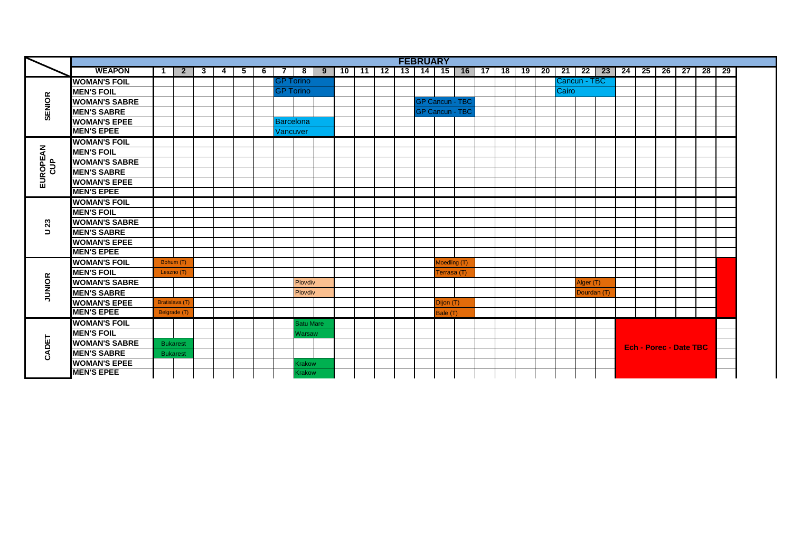|                             |                      |    |                      |   |   |   |   |           |                  |   |    |     |    |    | <b>FEBRUARY</b> |                        |           |    |    |    |    |       |              |                   |    |                               |    |      |    |     |
|-----------------------------|----------------------|----|----------------------|---|---|---|---|-----------|------------------|---|----|-----|----|----|-----------------|------------------------|-----------|----|----|----|----|-------|--------------|-------------------|----|-------------------------------|----|------|----|-----|
|                             | <b>WEAPON</b>        | -1 | $\mathbf{2}$         | 3 | 4 | 5 | 6 |           | 8                | 9 | 10 | -11 | 12 | 13 | 14              |                        | $15$   16 | 17 | 18 | 19 | 20 | 21    |              | $22 \mid 23 \mid$ | 24 | 25                            | 26 | - 27 | 28 | -29 |
|                             | <b>WOMAN'S FOIL</b>  |    |                      |   |   |   |   |           | <b>GP Torino</b> |   |    |     |    |    |                 |                        |           |    |    |    |    |       | Cancun - TBC |                   |    |                               |    |      |    |     |
|                             | <b>MEN'S FOIL</b>    |    |                      |   |   |   |   |           | <b>GP Torino</b> |   |    |     |    |    |                 |                        |           |    |    |    |    | Cairo |              |                   |    |                               |    |      |    |     |
| <b>SENIOR</b>               | <b>WOMAN'S SABRE</b> |    |                      |   |   |   |   |           |                  |   |    |     |    |    |                 | <b>GP Cancun - TBC</b> |           |    |    |    |    |       |              |                   |    |                               |    |      |    |     |
|                             | <b>MEN'S SABRE</b>   |    |                      |   |   |   |   |           |                  |   |    |     |    |    |                 | <b>GP Cancun - TBC</b> |           |    |    |    |    |       |              |                   |    |                               |    |      |    |     |
|                             | <b>WOMAN'S EPEE</b>  |    |                      |   |   |   |   | Barcelona |                  |   |    |     |    |    |                 |                        |           |    |    |    |    |       |              |                   |    |                               |    |      |    |     |
|                             | <b>MEN'S EPEE</b>    |    |                      |   |   |   |   |           | Vancuver         |   |    |     |    |    |                 |                        |           |    |    |    |    |       |              |                   |    |                               |    |      |    |     |
|                             | <b>WOMAN'S FOIL</b>  |    |                      |   |   |   |   |           |                  |   |    |     |    |    |                 |                        |           |    |    |    |    |       |              |                   |    |                               |    |      |    |     |
|                             | <b>MEN'S FOIL</b>    |    |                      |   |   |   |   |           |                  |   |    |     |    |    |                 |                        |           |    |    |    |    |       |              |                   |    |                               |    |      |    |     |
| <b>EUROPEAN</b><br><b>B</b> | <b>WOMAN'S SABRE</b> |    |                      |   |   |   |   |           |                  |   |    |     |    |    |                 |                        |           |    |    |    |    |       |              |                   |    |                               |    |      |    |     |
|                             | <b>MEN'S SABRE</b>   |    |                      |   |   |   |   |           |                  |   |    |     |    |    |                 |                        |           |    |    |    |    |       |              |                   |    |                               |    |      |    |     |
|                             | <b>WOMAN'S EPEE</b>  |    |                      |   |   |   |   |           |                  |   |    |     |    |    |                 |                        |           |    |    |    |    |       |              |                   |    |                               |    |      |    |     |
|                             | <b>MEN'S EPEE</b>    |    |                      |   |   |   |   |           |                  |   |    |     |    |    |                 |                        |           |    |    |    |    |       |              |                   |    |                               |    |      |    |     |
|                             | <b>WOMAN'S FOIL</b>  |    |                      |   |   |   |   |           |                  |   |    |     |    |    |                 |                        |           |    |    |    |    |       |              |                   |    |                               |    |      |    |     |
|                             | <b>MEN'S FOIL</b>    |    |                      |   |   |   |   |           |                  |   |    |     |    |    |                 |                        |           |    |    |    |    |       |              |                   |    |                               |    |      |    |     |
| 23                          | <b>WOMAN'S SABRE</b> |    |                      |   |   |   |   |           |                  |   |    |     |    |    |                 |                        |           |    |    |    |    |       |              |                   |    |                               |    |      |    |     |
| $\Box$                      | <b>MEN'S SABRE</b>   |    |                      |   |   |   |   |           |                  |   |    |     |    |    |                 |                        |           |    |    |    |    |       |              |                   |    |                               |    |      |    |     |
|                             | <b>WOMAN'S EPEE</b>  |    |                      |   |   |   |   |           |                  |   |    |     |    |    |                 |                        |           |    |    |    |    |       |              |                   |    |                               |    |      |    |     |
|                             | <b>MEN'S EPEE</b>    |    |                      |   |   |   |   |           |                  |   |    |     |    |    |                 |                        |           |    |    |    |    |       |              |                   |    |                               |    |      |    |     |
|                             | <b>WOMAN'S FOIL</b>  |    | Bohum (T)            |   |   |   |   |           |                  |   |    |     |    |    |                 | Moedling (T)           |           |    |    |    |    |       |              |                   |    |                               |    |      |    |     |
|                             | <b>MEN'S FOIL</b>    |    | Leszno (T)           |   |   |   |   |           |                  |   |    |     |    |    |                 | Terrasa (T)            |           |    |    |    |    |       |              |                   |    |                               |    |      |    |     |
|                             | <b>WOMAN'S SABRE</b> |    |                      |   |   |   |   |           | Plovdiv          |   |    |     |    |    |                 |                        |           |    |    |    |    |       | Alger (T)    |                   |    |                               |    |      |    |     |
| <b>JUNIOR</b>               | <b>MEN'S SABRE</b>   |    |                      |   |   |   |   |           | Plovdiv          |   |    |     |    |    |                 |                        |           |    |    |    |    |       | Dourdan (T)  |                   |    |                               |    |      |    |     |
|                             | <b>WOMAN'S EPEE</b>  |    | <b>Bratislava</b> (T |   |   |   |   |           |                  |   |    |     |    |    |                 | Dijon(T)               |           |    |    |    |    |       |              |                   |    |                               |    |      |    |     |
|                             | <b>MEN'S EPEE</b>    |    | Belgrade (T)         |   |   |   |   |           |                  |   |    |     |    |    |                 | Bale (T)               |           |    |    |    |    |       |              |                   |    |                               |    |      |    |     |
|                             | <b>WOMAN'S FOIL</b>  |    |                      |   |   |   |   |           | Satu Mare        |   |    |     |    |    |                 |                        |           |    |    |    |    |       |              |                   |    |                               |    |      |    |     |
|                             | <b>MEN'S FOIL</b>    |    |                      |   |   |   |   |           | <b>Narsaw</b>    |   |    |     |    |    |                 |                        |           |    |    |    |    |       |              |                   |    |                               |    |      |    |     |
| CADET                       | <b>WOMAN'S SABRE</b> |    | <b>Bukarest</b>      |   |   |   |   |           |                  |   |    |     |    |    |                 |                        |           |    |    |    |    |       |              |                   |    | <b>Ech - Porec - Date TBC</b> |    |      |    |     |
|                             | <b>MEN'S SABRE</b>   |    | <b>Bukarest</b>      |   |   |   |   |           |                  |   |    |     |    |    |                 |                        |           |    |    |    |    |       |              |                   |    |                               |    |      |    |     |
|                             | <b>WOMAN'S EPEE</b>  |    |                      |   |   |   |   |           | <b>Krakow</b>    |   |    |     |    |    |                 |                        |           |    |    |    |    |       |              |                   |    |                               |    |      |    |     |
|                             | <b>MEN'S EPEE</b>    |    |                      |   |   |   |   |           | Krakow           |   |    |     |    |    |                 |                        |           |    |    |    |    |       |              |                   |    |                               |    |      |    |     |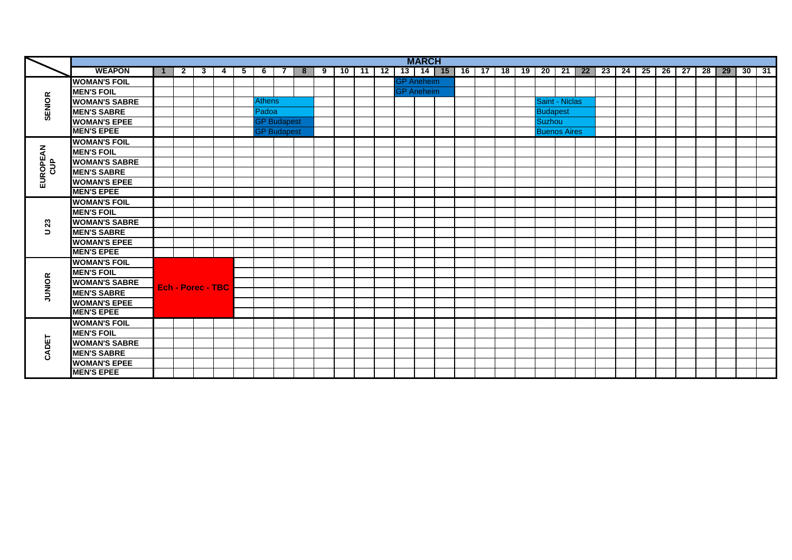|                            |                      |                          |   |   |    |               |                    |   |   |    |     |    |                   | <b>MARCH</b>      |    |     |    |    |                     |     |    |    |    |    |    |    |    |    |              |  |
|----------------------------|----------------------|--------------------------|---|---|----|---------------|--------------------|---|---|----|-----|----|-------------------|-------------------|----|-----|----|----|---------------------|-----|----|----|----|----|----|----|----|----|--------------|--|
|                            | <b>WEAPON</b>        | $\mathbf{2}$             | 3 | 4 | 5. | 6             |                    | 8 | 9 | 10 | -11 | 12 |                   | $13$   14   15    | 16 | -17 | 18 | 19 | 20                  | -21 | 22 | 23 | 24 | 25 | 26 | 27 | 28 | 29 | $30 \mid 31$ |  |
|                            | <b>WOMAN'S FOIL</b>  |                          |   |   |    |               |                    |   |   |    |     |    |                   | <b>GP</b> Aneheim |    |     |    |    |                     |     |    |    |    |    |    |    |    |    |              |  |
|                            | <b>MEN'S FOIL</b>    |                          |   |   |    |               |                    |   |   |    |     |    | <b>GP</b> Aneheim |                   |    |     |    |    |                     |     |    |    |    |    |    |    |    |    |              |  |
| <b>SENIOR</b>              | <b>WOMAN'S SABRE</b> |                          |   |   |    | <b>Athens</b> |                    |   |   |    |     |    |                   |                   |    |     |    |    | Saint - Niclas      |     |    |    |    |    |    |    |    |    |              |  |
|                            | <b>MEN'S SABRE</b>   |                          |   |   |    | Padoa         |                    |   |   |    |     |    |                   |                   |    |     |    |    | <b>Budapest</b>     |     |    |    |    |    |    |    |    |    |              |  |
|                            | <b>WOMAN'S EPEE</b>  |                          |   |   |    |               | <b>GP Budapest</b> |   |   |    |     |    |                   |                   |    |     |    |    | <b>Suzhou</b>       |     |    |    |    |    |    |    |    |    |              |  |
|                            | <b>MEN'S EPEE</b>    |                          |   |   |    |               | <b>GP Budapest</b> |   |   |    |     |    |                   |                   |    |     |    |    | <b>Buenos Aires</b> |     |    |    |    |    |    |    |    |    |              |  |
|                            | <b>WOMAN'S FOIL</b>  |                          |   |   |    |               |                    |   |   |    |     |    |                   |                   |    |     |    |    |                     |     |    |    |    |    |    |    |    |    |              |  |
|                            | <b>MEN'S FOIL</b>    |                          |   |   |    |               |                    |   |   |    |     |    |                   |                   |    |     |    |    |                     |     |    |    |    |    |    |    |    |    |              |  |
|                            | <b>WOMAN'S SABRE</b> |                          |   |   |    |               |                    |   |   |    |     |    |                   |                   |    |     |    |    |                     |     |    |    |    |    |    |    |    |    |              |  |
| EUROPEAN<br>å              | <b>MEN'S SABRE</b>   |                          |   |   |    |               |                    |   |   |    |     |    |                   |                   |    |     |    |    |                     |     |    |    |    |    |    |    |    |    |              |  |
|                            | <b>WOMAN'S EPEE</b>  |                          |   |   |    |               |                    |   |   |    |     |    |                   |                   |    |     |    |    |                     |     |    |    |    |    |    |    |    |    |              |  |
|                            | <b>MEN'S EPEE</b>    |                          |   |   |    |               |                    |   |   |    |     |    |                   |                   |    |     |    |    |                     |     |    |    |    |    |    |    |    |    |              |  |
|                            | <b>WOMAN'S FOIL</b>  |                          |   |   |    |               |                    |   |   |    |     |    |                   |                   |    |     |    |    |                     |     |    |    |    |    |    |    |    |    |              |  |
|                            | <b>MEN'S FOIL</b>    |                          |   |   |    |               |                    |   |   |    |     |    |                   |                   |    |     |    |    |                     |     |    |    |    |    |    |    |    |    |              |  |
| $\boldsymbol{\mathcal{Z}}$ | <b>WOMAN'S SABRE</b> |                          |   |   |    |               |                    |   |   |    |     |    |                   |                   |    |     |    |    |                     |     |    |    |    |    |    |    |    |    |              |  |
| $\Rightarrow$              | <b>MEN'S SABRE</b>   |                          |   |   |    |               |                    |   |   |    |     |    |                   |                   |    |     |    |    |                     |     |    |    |    |    |    |    |    |    |              |  |
|                            | <b>WOMAN'S EPEE</b>  |                          |   |   |    |               |                    |   |   |    |     |    |                   |                   |    |     |    |    |                     |     |    |    |    |    |    |    |    |    |              |  |
|                            | <b>MEN'S EPEE</b>    |                          |   |   |    |               |                    |   |   |    |     |    |                   |                   |    |     |    |    |                     |     |    |    |    |    |    |    |    |    |              |  |
|                            | <b>WOMAN'S FOIL</b>  |                          |   |   |    |               |                    |   |   |    |     |    |                   |                   |    |     |    |    |                     |     |    |    |    |    |    |    |    |    |              |  |
|                            | <b>MEN'S FOIL</b>    |                          |   |   |    |               |                    |   |   |    |     |    |                   |                   |    |     |    |    |                     |     |    |    |    |    |    |    |    |    |              |  |
| <b>JUNIOR</b>              | <b>WOMAN'S SABRE</b> |                          |   |   |    |               |                    |   |   |    |     |    |                   |                   |    |     |    |    |                     |     |    |    |    |    |    |    |    |    |              |  |
|                            | <b>MEN'S SABRE</b>   | <b>Ech - Porec - TBC</b> |   |   |    |               |                    |   |   |    |     |    |                   |                   |    |     |    |    |                     |     |    |    |    |    |    |    |    |    |              |  |
|                            | <b>WOMAN'S EPEE</b>  |                          |   |   |    |               |                    |   |   |    |     |    |                   |                   |    |     |    |    |                     |     |    |    |    |    |    |    |    |    |              |  |
|                            | <b>MEN'S EPEE</b>    |                          |   |   |    |               |                    |   |   |    |     |    |                   |                   |    |     |    |    |                     |     |    |    |    |    |    |    |    |    |              |  |
|                            | <b>WOMAN'S FOIL</b>  |                          |   |   |    |               |                    |   |   |    |     |    |                   |                   |    |     |    |    |                     |     |    |    |    |    |    |    |    |    |              |  |
|                            | <b>MEN'S FOIL</b>    |                          |   |   |    |               |                    |   |   |    |     |    |                   |                   |    |     |    |    |                     |     |    |    |    |    |    |    |    |    |              |  |
| CADET                      | <b>WOMAN'S SABRE</b> |                          |   |   |    |               |                    |   |   |    |     |    |                   |                   |    |     |    |    |                     |     |    |    |    |    |    |    |    |    |              |  |
|                            | <b>MEN'S SABRE</b>   |                          |   |   |    |               |                    |   |   |    |     |    |                   |                   |    |     |    |    |                     |     |    |    |    |    |    |    |    |    |              |  |
|                            | <b>WOMAN'S EPEE</b>  |                          |   |   |    |               |                    |   |   |    |     |    |                   |                   |    |     |    |    |                     |     |    |    |    |    |    |    |    |    |              |  |
|                            | <b>MEN'S EPEE</b>    |                          |   |   |    |               |                    |   |   |    |     |    |                   |                   |    |     |    |    |                     |     |    |    |    |    |    |    |    |    |              |  |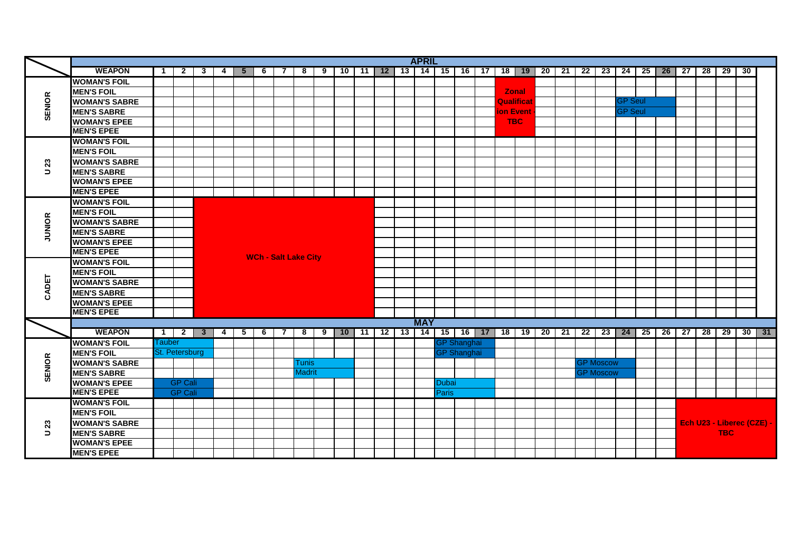|               |                      |                          |                |                 |     |                |                             |                |               |   |                         |  | <b>APRIL</b> |       |                    |                  |                                       |  |                  |                |                                                                                         |  |            |                           |  |
|---------------|----------------------|--------------------------|----------------|-----------------|-----|----------------|-----------------------------|----------------|---------------|---|-------------------------|--|--------------|-------|--------------------|------------------|---------------------------------------|--|------------------|----------------|-----------------------------------------------------------------------------------------|--|------------|---------------------------|--|
|               | <b>WEAPON</b>        | $\mathbf 1$              | $\mathbf{2}$   | 3               | 4 I | 5 <sup>5</sup> | -6                          | 7              | 8             | 9 |                         |  |              |       |                    |                  |                                       |  |                  |                | 10   11   12   13   14   15   16   17   18   19   20   21   22   23   24   25   26   27 |  | 28 29 30   |                           |  |
|               | <b>WOMAN'S FOIL</b>  |                          |                |                 |     |                |                             |                |               |   |                         |  |              |       |                    |                  |                                       |  |                  |                |                                                                                         |  |            |                           |  |
|               | <b>MEN'S FOIL</b>    |                          |                |                 |     |                |                             |                |               |   |                         |  |              |       |                    |                  | <b>Zonal</b>                          |  |                  |                |                                                                                         |  |            |                           |  |
| <b>SENIOR</b> | <b>WOMAN'S SABRE</b> |                          |                |                 |     |                |                             |                |               |   |                         |  |              |       |                    |                  | <b>Qualificat</b>                     |  |                  | <b>GP Seul</b> |                                                                                         |  |            |                           |  |
|               | <b>MEN'S SABRE</b>   |                          |                |                 |     |                |                             |                |               |   |                         |  |              |       |                    | <b>ion Event</b> |                                       |  |                  | <b>GP Seul</b> |                                                                                         |  |            |                           |  |
|               | <b>WOMAN'S EPEE</b>  |                          |                |                 |     |                |                             |                |               |   |                         |  |              |       |                    |                  | <b>TBC</b>                            |  |                  |                |                                                                                         |  |            |                           |  |
|               | <b>MEN'S EPEE</b>    |                          |                |                 |     |                |                             |                |               |   |                         |  |              |       |                    |                  |                                       |  |                  |                |                                                                                         |  |            |                           |  |
|               | <b>WOMAN'S FOIL</b>  |                          |                |                 |     |                |                             |                |               |   |                         |  |              |       |                    |                  |                                       |  |                  |                |                                                                                         |  |            |                           |  |
|               | <b>MEN'S FOIL</b>    |                          |                |                 |     |                |                             |                |               |   |                         |  |              |       |                    |                  |                                       |  |                  |                |                                                                                         |  |            |                           |  |
| 23            | <b>WOMAN'S SABRE</b> |                          |                |                 |     |                |                             |                |               |   |                         |  |              |       |                    |                  |                                       |  |                  |                |                                                                                         |  |            |                           |  |
| $\Rightarrow$ | <b>MEN'S SABRE</b>   |                          |                |                 |     |                |                             |                |               |   |                         |  |              |       |                    |                  |                                       |  |                  |                |                                                                                         |  |            |                           |  |
|               | <b>WOMAN'S EPEE</b>  |                          |                |                 |     |                |                             |                |               |   |                         |  |              |       |                    |                  |                                       |  |                  |                |                                                                                         |  |            |                           |  |
|               | <b>MEN'S EPEE</b>    |                          |                |                 |     |                |                             |                |               |   |                         |  |              |       |                    |                  |                                       |  |                  |                |                                                                                         |  |            |                           |  |
|               | <b>WOMAN'S FOIL</b>  |                          |                |                 |     |                |                             |                |               |   |                         |  |              |       |                    |                  |                                       |  |                  |                |                                                                                         |  |            |                           |  |
|               | <b>MEN'S FOIL</b>    |                          |                |                 |     |                |                             |                |               |   |                         |  |              |       |                    |                  |                                       |  |                  |                |                                                                                         |  |            |                           |  |
|               | <b>WOMAN'S SABRE</b> |                          |                |                 |     |                |                             |                |               |   |                         |  |              |       |                    |                  |                                       |  |                  |                |                                                                                         |  |            |                           |  |
| <b>JUNIOR</b> | <b>MEN'S SABRE</b>   |                          |                |                 |     |                |                             |                |               |   |                         |  |              |       |                    |                  |                                       |  |                  |                |                                                                                         |  |            |                           |  |
|               | <b>WOMAN'S EPEE</b>  |                          |                |                 |     |                |                             |                |               |   |                         |  |              |       |                    |                  |                                       |  |                  |                |                                                                                         |  |            |                           |  |
|               | <b>MEN'S EPEE</b>    |                          |                |                 |     |                | <b>WCh - Salt Lake City</b> |                |               |   |                         |  |              |       |                    |                  |                                       |  |                  |                |                                                                                         |  |            |                           |  |
|               | <b>WOMAN'S FOIL</b>  |                          |                |                 |     |                |                             |                |               |   |                         |  |              |       |                    |                  |                                       |  |                  |                |                                                                                         |  |            |                           |  |
|               | <b>MEN'S FOIL</b>    |                          |                |                 |     |                |                             |                |               |   |                         |  |              |       |                    |                  |                                       |  |                  |                |                                                                                         |  |            |                           |  |
| CADET         | <b>WOMAN'S SABRE</b> |                          |                |                 |     |                |                             |                |               |   |                         |  |              |       |                    |                  |                                       |  |                  |                |                                                                                         |  |            |                           |  |
|               | <b>MEN'S SABRE</b>   |                          |                |                 |     |                |                             |                |               |   |                         |  |              |       |                    |                  |                                       |  |                  |                |                                                                                         |  |            |                           |  |
|               | <b>WOMAN'S EPEE</b>  |                          |                |                 |     |                |                             |                |               |   |                         |  |              |       |                    |                  |                                       |  |                  |                |                                                                                         |  |            |                           |  |
|               | <b>MEN'S EPEE</b>    |                          |                |                 |     |                |                             |                |               |   |                         |  |              |       |                    |                  |                                       |  |                  |                |                                                                                         |  |            |                           |  |
|               |                      |                          |                |                 |     |                |                             |                |               |   |                         |  | <b>MAY</b>   |       |                    |                  |                                       |  |                  |                |                                                                                         |  |            |                           |  |
|               | <b>WEAPON</b>        | $\overline{\phantom{a}}$ |                | $2 \mid 3 \mid$ | 4   | $5^{\circ}$    | $\overline{6}$              | $\overline{7}$ | ಕ             |   | $9$   10   11   12   13 |  |              |       |                    |                  | 14   15   16   17   18   19   20   21 |  |                  |                | 22   23   24   25   26   27   28   29   30   31                                         |  |            |                           |  |
|               | <b>WOMAN'S FOIL</b>  | <b>Tauber</b>            |                |                 |     |                |                             |                |               |   |                         |  |              |       | <b>GP Shanghai</b> |                  |                                       |  |                  |                |                                                                                         |  |            |                           |  |
|               | <b>MEN'S FOIL</b>    |                          | St. Petersburg |                 |     |                |                             |                |               |   |                         |  |              |       | <b>GP Shanghai</b> |                  |                                       |  |                  |                |                                                                                         |  |            |                           |  |
|               | <b>WOMAN'S SABRE</b> |                          |                |                 |     |                |                             |                | Tunis         |   |                         |  |              |       |                    |                  |                                       |  | <b>GP Moscow</b> |                |                                                                                         |  |            |                           |  |
| <b>SENIOR</b> | <b>MEN'S SABRE</b>   |                          |                |                 |     |                |                             |                | <b>Madrit</b> |   |                         |  |              |       |                    |                  |                                       |  | <b>GP Moscow</b> |                |                                                                                         |  |            |                           |  |
|               | <b>WOMAN'S EPEE</b>  |                          | <b>GP Cali</b> |                 |     |                |                             |                |               |   |                         |  |              | Dubai |                    |                  |                                       |  |                  |                |                                                                                         |  |            |                           |  |
|               | <b>MEN'S EPEE</b>    |                          | <b>GP Cali</b> |                 |     |                |                             |                |               |   |                         |  |              | Paris |                    |                  |                                       |  |                  |                |                                                                                         |  |            |                           |  |
|               | <b>WOMAN'S FOIL</b>  |                          |                |                 |     |                |                             |                |               |   |                         |  |              |       |                    |                  |                                       |  |                  |                |                                                                                         |  |            |                           |  |
|               | <b>MEN'S FOIL</b>    |                          |                |                 |     |                |                             |                |               |   |                         |  |              |       |                    |                  |                                       |  |                  |                |                                                                                         |  |            |                           |  |
| 23            | <b>WOMAN'S SABRE</b> |                          |                |                 |     |                |                             |                |               |   |                         |  |              |       |                    |                  |                                       |  |                  |                |                                                                                         |  |            | Ech U23 - Liberec (CZE) - |  |
| $\Rightarrow$ | <b>MEN'S SABRE</b>   |                          |                |                 |     |                |                             |                |               |   |                         |  |              |       |                    |                  |                                       |  |                  |                |                                                                                         |  | <b>TBC</b> |                           |  |
|               | <b>WOMAN'S EPEE</b>  |                          |                |                 |     |                |                             |                |               |   |                         |  |              |       |                    |                  |                                       |  |                  |                |                                                                                         |  |            |                           |  |
|               | <b>MEN'S EPEE</b>    |                          |                |                 |     |                |                             |                |               |   |                         |  |              |       |                    |                  |                                       |  |                  |                |                                                                                         |  |            |                           |  |